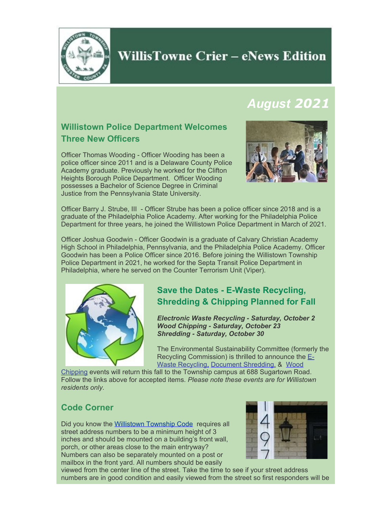

## **WillisTowne Crier – eNews Edition**

## *August 2021*

## **Willistown Police Department Welcomes Three New Officers**

Officer Thomas Wooding - Officer Wooding has been a police officer since 2011 and is a Delaware County Police Academy graduate. Previously he worked for the Clifton Heights Borough Police Department. Officer Wooding possesses a Bachelor of Science Degree in Criminal Justice from the Pennsylvania State University.



Officer Barry J. Strube, III - Officer Strube has been a police officer since 2018 and is a graduate of the Philadelphia Police Academy. After working for the Philadelphia Police Department for three years, he joined the Willistown Police Department in March of 2021.

Officer Joshua Goodwin - Officer Goodwin is a graduate of Calvary Christian Academy High School in Philadelphia, Pennsylvania, and the Philadelphia Police Academy. Officer Goodwin has been a Police Officer since 2016. Before joining the Willistown Township Police Department in 2021, he worked for the Septa Transit Police Department in Philadelphia, where he served on the Counter Terrorism Unit (Viper).



### **Save the Dates - E-Waste Recycling, Shredding & Chipping Planned for Fall**

*Electronic Waste Recycling - Saturday, October 2 Wood Chipping - Saturday, October 23 Shredding - Saturday, October 30*

The Environmental Sustainability Committee (formerly the Recycling Commission) is thrilled to announce the [E-](https://www.willistown.pa.us/Calendar.aspx?EID=1181&month=10&year=2021&day=19&calType=0)[Waste Recycling,](https://www.willistown.pa.us/Calendar.aspx?EID=1181&month=10&year=2021&day=19&calType=0) [Document Shredding](https://www.willistown.pa.us/Calendar.aspx?EID=1183&month=10&year=2021&day=19&calType=0), & [Wood](https://www.willistown.pa.us/Calendar.aspx?EID=1182&month=10&year=2021&day=19&calType=0)

[Chipping](https://www.willistown.pa.us/Calendar.aspx?EID=1182&month=10&year=2021&day=19&calType=0) events will return this fall to the Township campus at 688 Sugartown Road. Follow the links above for accepted items. *Please note these events are for Willistown residents only.*

### **Code Corner**

Did you know the [Willistown Township Code](https://ecode360.com/11713905?highlight=mailbox&searchId=2596389442138299#11713905) requires all street address numbers to be a minimum height of 3 inches and should be mounted on a building's front wall, porch, or other areas close to the main entryway? Numbers can also be separately mounted on a post or mailbox in the front yard. All numbers should be easily



viewed from the center line of the street. Take the time to see if your street address numbers are in good condition and easily viewed from the street so first responders will be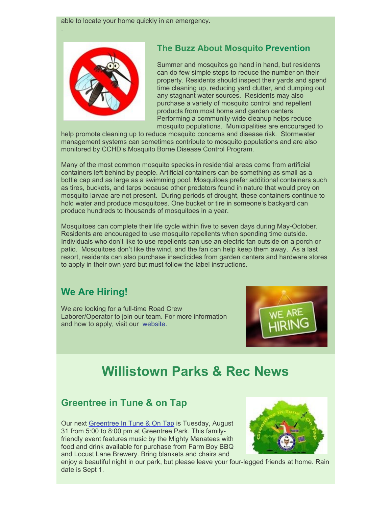

.

## **The Buzz About Mosquito Prevention**

Summer and mosquitos go hand in hand, but residents can do few simple steps to reduce the number on their property. Residents should inspect their yards and spend time cleaning up, reducing yard clutter, and dumping out any stagnant water sources. Residents may also purchase a variety of mosquito control and repellent products from most home and garden centers. Performing a community-wide cleanup helps reduce mosquito populations. Municipalities are encouraged to

help promote cleaning up to reduce mosquito concerns and disease risk. Stormwater management systems can sometimes contribute to mosquito populations and are also monitored by CCHD's Mosquito Borne Disease Control Program.

Many of the most common mosquito species in residential areas come from artificial containers left behind by people. Artificial containers can be something as small as a bottle cap and as large as a swimming pool. Mosquitoes prefer additional containers such as tires, buckets, and tarps because other predators found in nature that would prey on mosquito larvae are not present. During periods of drought, these containers continue to hold water and produce mosquitoes. One bucket or tire in someone's backyard can produce hundreds to thousands of mosquitoes in a year.

Mosquitoes can complete their life cycle within five to seven days during May-October. Residents are encouraged to use mosquito repellents when spending time outside. Individuals who don't like to use repellents can use an electric fan outside on a porch or patio. Mosquitoes don't like the wind, and the fan can help keep them away. As a last resort, residents can also purchase insecticides from garden centers and hardware stores to apply in their own yard but must follow the label instructions.

## **We Are Hiring!**

We are looking for a full-time Road Crew Laborer/Operator to join our team. For more information and how to apply, visit our [website](https://www.willistown.pa.us/312/Employment-Opportunities).



# **Willistown Parks & Rec News**

### **Greentree in Tune & on Tap**

Our next [Greentree In Tune & On Tap](https://www.willistown.pa.us/Calendar.aspx?EID=1191&month=8&year=2021&day=19&calType=0) is Tuesday, August 31 from 5:00 to 8:00 pm at Greentree Park. This familyfriendly event features music by the Mighty Manatees with food and drink available for purchase from Farm Boy BBQ and Locust Lane Brewery. Bring blankets and chairs and



enjoy a beautiful night in our park, but please leave your four-legged friends at home. Rain date is Sept 1.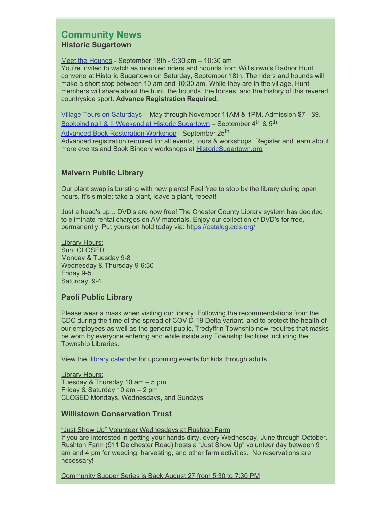#### **Community News Historic Sugartown**

[Meet the Hounds](https://historicsugartown.org/single-post-name/radnor-hunt-meet-of-the-hounds/) - September 18th - 9:30 am – 10:30 am You're invited to watch as mounted riders and hounds from Willistown's Radnor Hunt convene at Historic Sugartown on Saturday, September 18th. The riders and hounds will make a short stop between 10 am and 10:30 am. While they are in the village, Hunt members will share about the hunt, the hounds, the horses, and the history of this revered countryside sport. **Advance Registration Required.**

[Village Tours on Saturdays](https://historicsugartown.org/hours-directions/) - May through November 11AM & 1PM. Admission \$7 - \$9. [Bookbinding I & II Weekend at Historic Sugartown](https://historicsugartown.org/single-post-name/bookbinding-i-ii-weekend/2021-09-04/) – September 4<sup>th</sup> & 5<sup>th</sup> [Advanced Book Restoration Workshop](https://historicsugartown.org/single-post-name/advanced-book-restoration/2021-09-25/) - September 25<sup>th</sup> Advanced registration required for all events, tours & workshops. Register and learn about more events and Book Bindery workshops at [HistoricSugartown.org](https://historicsugartown.org/)

#### **Malvern Public Library**

Our plant swap is bursting with new plants! Feel free to stop by the library during open hours. It's simple; take a plant, leave a plant, repeat!

Just a head's up... DVD's are now free! The Chester County Library system has decided to eliminate rental charges on AV materials. Enjoy our collection of DVD's for free, permanently. Put yours on hold today via: [https://catalog.ccls.org/](https://catalog.ccls.org/?fbclid=IwAR1niX4dg9SJ7s9kp0E-uvBZ2UcTnI6mNFfeAJhHGHXiezJuGHXhAFNiSoo)

Library Hours: Sun: CLOSED Monday & Tuesday 9-8 Wednesday & Thursday 9-6:30 Friday 9-5 Saturday 9-4

#### **Paoli Public Library**

Please wear a mask when visiting our library. Following the recommendations from the CDC during the time of the spread of COVID-19 Delta variant, and to protect the health of our employees as well as the general public, Tredyffrin Township now requires that masks be worn by everyone entering and while inside any Township facilities including the Township Libraries.

View the [library calendar](https://www.tredyffrinlibraries.org/virtual-calendar/) for upcoming events for kids through adults.

**Library Hours:** Tuesday & Thursday 10 am – 5 pm Friday & Saturday 10 am – 2 pm CLOSED Mondays, Wednesdays, and Sundays

#### **Willistown Conservation Trust**

"Just Show Up" Volunteer Wednesdays at Rushton Farm If you are interested in getting your hands dirty, every Wednesday, June through October, Rushton Farm (911 Delchester Road) hosts a "Just Show Up" volunteer day between 9 am and 4 pm for weeding, harvesting, and other farm activities. No reservations are necessary!

Community Supper Series is Back August 27 from 5:30 to 7:30 PM